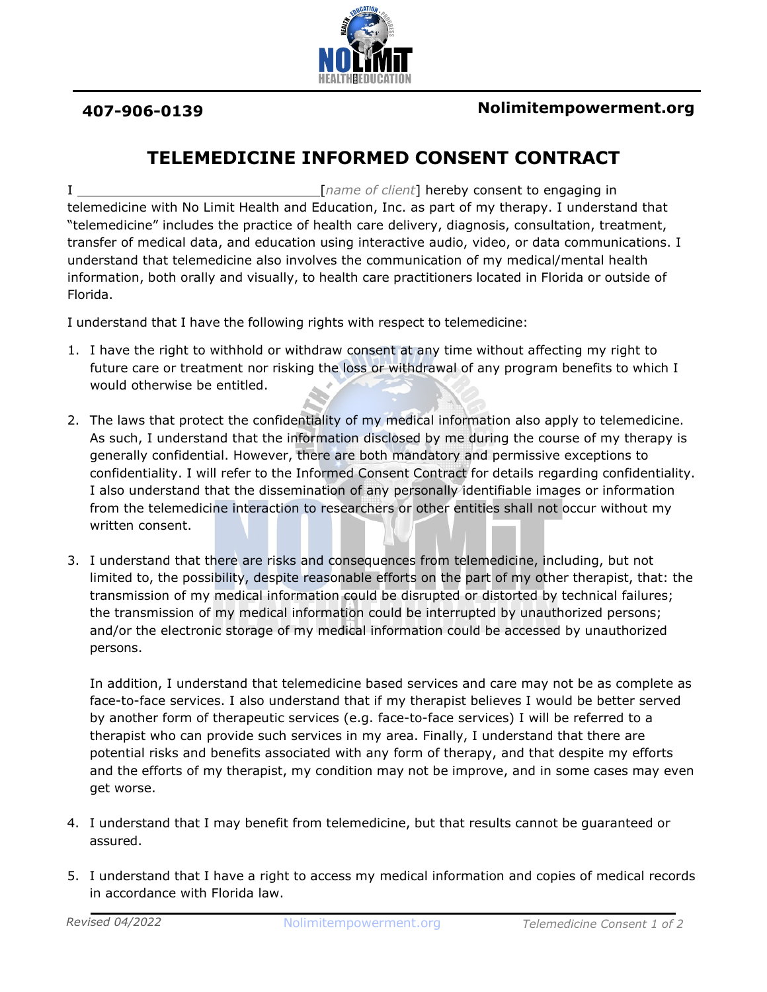

## **TELEMEDICINE INFORMED CONSENT CONTRACT**

I [*name of client*] hereby consent to engaging in telemedicine with No Limit Health and Education, Inc. as part of my therapy. I understand that "telemedicine" includes the practice of health care delivery, diagnosis, consultation, treatment, transfer of medical data, and education using interactive audio, video, or data communications. I understand that telemedicine also involves the communication of my medical/mental health information, both orally and visually, to health care practitioners located in Florida or outside of Florida.

I understand that I have the following rights with respect to telemedicine:

- 1. I have the right to withhold or withdraw consent at any time without affecting my right to future care or treatment nor risking the loss or withdrawal of any program benefits to which I would otherwise be entitled.
- 2. The laws that protect the confidentiality of my medical information also apply to telemedicine. As such, I understand that the information disclosed by me during the course of my therapy is generally confidential. However, there are both mandatory and permissive exceptions to confidentiality. I will refer to the Informed Consent Contract for details regarding confidentiality. I also understand that the dissemination of any personally identifiable images or information from the telemedicine interaction to researchers or other entities shall not occur without my written consent.
- 3. I understand that there are risks and consequences from telemedicine, including, but not limited to, the possibility, despite reasonable efforts on the part of my other therapist, that: the transmission of my medical information could be disrupted or distorted by technical failures; the transmission of my medical information could be interrupted by unauthorized persons; and/or the electronic storage of my medical information could be accessed by unauthorized persons.

In addition, I understand that telemedicine based services and care may not be as complete as face-to-face services. I also understand that if my therapist believes I would be better served by another form of therapeutic services (e.g. face-to-face services) I will be referred to a therapist who can provide such services in my area. Finally, I understand that there are potential risks and benefits associated with any form of therapy, and that despite my efforts and the efforts of my therapist, my condition may not be improve, and in some cases may even get worse.

- 4. I understand that I may benefit from telemedicine, but that results cannot be guaranteed or assured.
- 5. I understand that I have a right to access my medical information and copies of medical records in accordance with Florida law.